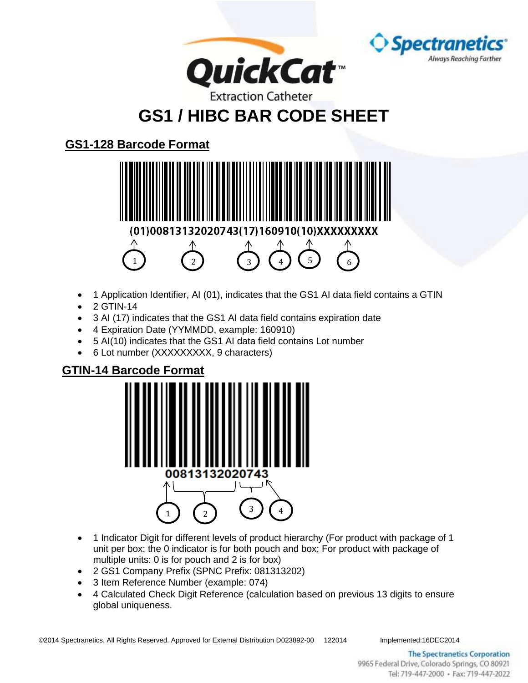

## **GS1 / HIBC BAR CODE SHEET**

## **GS1-128 Barcode Format**



- 1 Application Identifier, AI (01), indicates that the GS1 AI data field contains a GTIN
- $\bullet$  2 GTIN-14
- 3 AI (17) indicates that the GS1 AI data field contains expiration date
- 4 Expiration Date (YYMMDD, example: 160910)
- 5 AI(10) indicates that the GS1 AI data field contains Lot number
- 6 Lot number (XXXXXXXXX, 9 characters)

## **GTIN-14 Barcode Format**



- 1 Indicator Digit for different levels of product hierarchy (For product with package of 1 unit per box: the 0 indicator is for both pouch and box; For product with package of multiple units: 0 is for pouch and 2 is for box)
- 2 GS1 Company Prefix (SPNC Prefix: 081313202)
- 3 Item Reference Number (example: 074)
- 4 Calculated Check Digit Reference (calculation based on previous 13 digits to ensure global uniqueness.

©2014 Spectranetics. All Rights Reserved. Approved for External Distribution D023892-00 122014 Implemented:16DEC2014